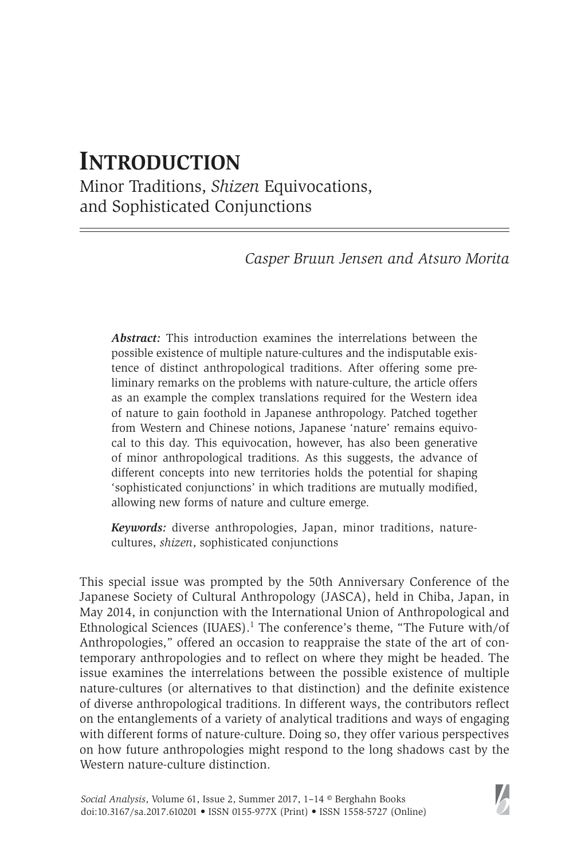# **Introduction**

Minor Traditions, *Shizen* Equivocations, and Sophisticated Conjunctions

*Casper Bruun Jensen and Atsuro Morita*

*Abstract:* This introduction examines the interrelations between the possible existence of multiple nature-cultures and the indisputable existence of distinct anthropological traditions. After offering some preliminary remarks on the problems with nature-culture, the article offers as an example the complex translations required for the Western idea of nature to gain foothold in Japanese anthropology. Patched together from Western and Chinese notions, Japanese 'nature' remains equivocal to this day. This equivocation, however, has also been generative of minor anthropological traditions. As this suggests, the advance of different concepts into new territories holds the potential for shaping 'sophisticated conjunctions' in which traditions are mutually modified, allowing new forms of nature and culture emerge.

*Keywords:* diverse anthropologies, Japan, minor traditions, naturecultures, *shizen*, sophisticated conjunctions

This special issue was prompted by the 50th Anniversary Conference of the Japanese Society of Cultural Anthropology (JASCA), held in Chiba, Japan, in May 2014, in conjunction with the International Union of Anthropological and Ethnological Sciences (IUAES).<sup>1</sup> The conference's theme, "The Future with/of Anthropologies," offered an occasion to reappraise the state of the art of contemporary anthropologies and to reflect on where they might be headed. The issue examines the interrelations between the possible existence of multiple nature-cultures (or alternatives to that distinction) and the definite existence of diverse anthropological traditions. In different ways, the contributors reflect on the entanglements of a variety of analytical traditions and ways of engaging with different forms of nature-culture. Doing so, they offer various perspectives on how future anthropologies might respond to the long shadows cast by the Western nature-culture distinction.

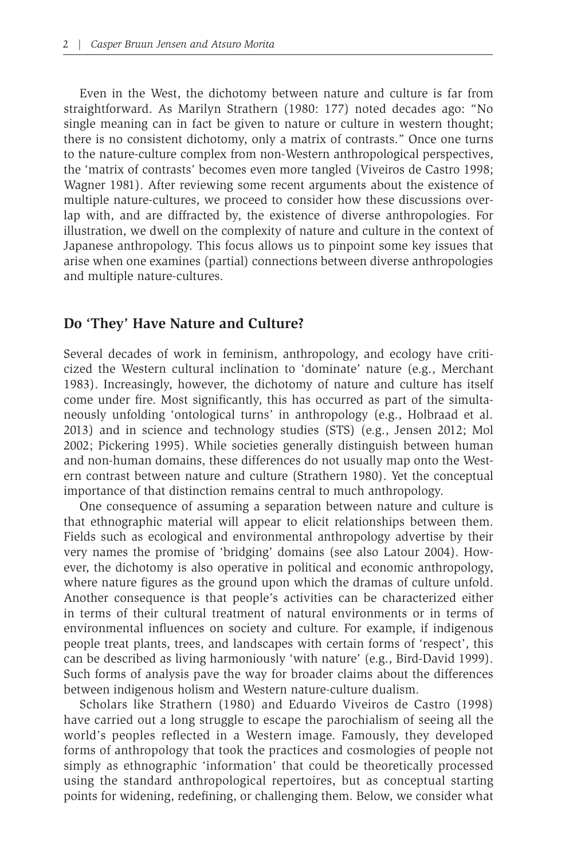Even in the West, the dichotomy between nature and culture is far from straightforward. As Marilyn Strathern (1980: 177) noted decades ago: "No single meaning can in fact be given to nature or culture in western thought; there is no consistent dichotomy, only a matrix of contrasts." Once one turns to the nature-culture complex from non-Western anthropological perspectives, the 'matrix of contrasts' becomes even more tangled (Viveiros de Castro 1998; Wagner 1981). After reviewing some recent arguments about the existence of multiple nature-cultures, we proceed to consider how these discussions overlap with, and are diffracted by, the existence of diverse anthropologies. For illustration, we dwell on the complexity of nature and culture in the context of Japanese anthropology. This focus allows us to pinpoint some key issues that arise when one examines (partial) connections between diverse anthropologies and multiple nature-cultures.

## **Do 'They' Have Nature and Culture?**

Several decades of work in feminism, anthropology, and ecology have criticized the Western cultural inclination to 'dominate' nature (e.g., Merchant 1983). Increasingly, however, the dichotomy of nature and culture has itself come under fire. Most significantly, this has occurred as part of the simultaneously unfolding 'ontological turns' in anthropology (e.g., Holbraad et al. 2013) and in science and technology studies (STS) (e.g., Jensen 2012; Mol 2002; Pickering 1995). While societies generally distinguish between human and non-human domains, these differences do not usually map onto the Western contrast between nature and culture (Strathern 1980). Yet the conceptual importance of that distinction remains central to much anthropology.

One consequence of assuming a separation between nature and culture is that ethnographic material will appear to elicit relationships between them. Fields such as ecological and environmental anthropology advertise by their very names the promise of 'bridging' domains (see also Latour 2004). However, the dichotomy is also operative in political and economic anthropology, where nature figures as the ground upon which the dramas of culture unfold. Another consequence is that people's activities can be characterized either in terms of their cultural treatment of natural environments or in terms of environmental influences on society and culture. For example, if indigenous people treat plants, trees, and landscapes with certain forms of 'respect', this can be described as living harmoniously 'with nature' (e.g., Bird-David 1999). Such forms of analysis pave the way for broader claims about the differences between indigenous holism and Western nature-culture dualism.

Scholars like Strathern (1980) and Eduardo Viveiros de Castro (1998) have carried out a long struggle to escape the parochialism of seeing all the world's peoples reflected in a Western image. Famously, they developed forms of anthropology that took the practices and cosmologies of people not simply as ethnographic 'information' that could be theoretically processed using the standard anthropological repertoires, but as conceptual starting points for widening, redefining, or challenging them. Below, we consider what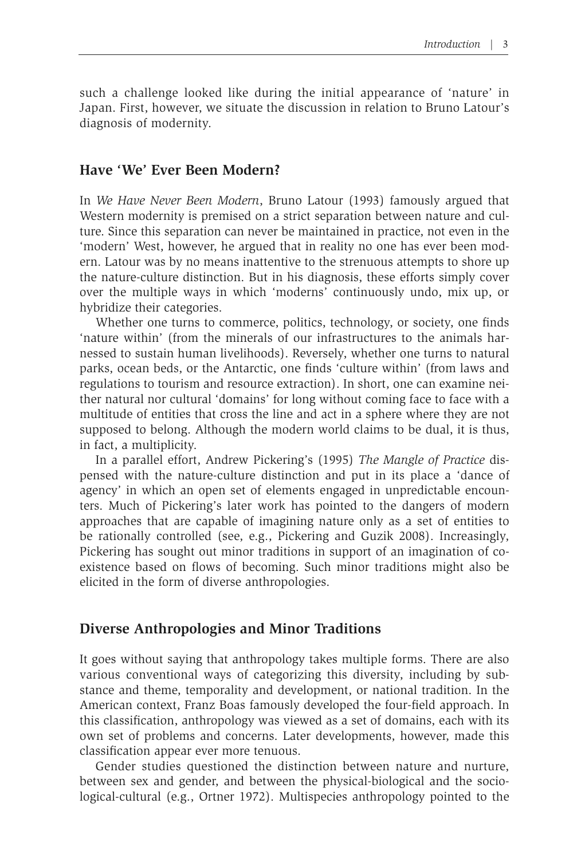such a challenge looked like during the initial appearance of 'nature' in Japan. First, however, we situate the discussion in relation to Bruno Latour's diagnosis of modernity.

### **Have 'We' Ever Been Modern?**

In *We Have Never Been Modern*, Bruno Latour (1993) famously argued that Western modernity is premised on a strict separation between nature and culture. Since this separation can never be maintained in practice, not even in the 'modern' West, however, he argued that in reality no one has ever been modern. Latour was by no means inattentive to the strenuous attempts to shore up the nature-culture distinction. But in his diagnosis, these efforts simply cover over the multiple ways in which 'moderns' continuously undo, mix up, or hybridize their categories.

Whether one turns to commerce, politics, technology, or society, one finds 'nature within' (from the minerals of our infrastructures to the animals harnessed to sustain human livelihoods). Reversely, whether one turns to natural parks, ocean beds, or the Antarctic, one finds 'culture within' (from laws and regulations to tourism and resource extraction). In short, one can examine neither natural nor cultural 'domains' for long without coming face to face with a multitude of entities that cross the line and act in a sphere where they are not supposed to belong. Although the modern world claims to be dual, it is thus, in fact, a multiplicity.

In a parallel effort, Andrew Pickering's (1995) *The Mangle of Practice* dispensed with the nature-culture distinction and put in its place a 'dance of agency' in which an open set of elements engaged in unpredictable encounters. Much of Pickering's later work has pointed to the dangers of modern approaches that are capable of imagining nature only as a set of entities to be rationally controlled (see, e.g., Pickering and Guzik 2008). Increasingly, Pickering has sought out minor traditions in support of an imagination of coexistence based on flows of becoming. Such minor traditions might also be elicited in the form of diverse anthropologies.

#### **Diverse Anthropologies and Minor Traditions**

It goes without saying that anthropology takes multiple forms. There are also various conventional ways of categorizing this diversity, including by substance and theme, temporality and development, or national tradition. In the American context, Franz Boas famously developed the four-field approach. In this classification, anthropology was viewed as a set of domains, each with its own set of problems and concerns. Later developments, however, made this classification appear ever more tenuous.

Gender studies questioned the distinction between nature and nurture, between sex and gender, and between the physical-biological and the sociological-cultural (e.g., Ortner 1972). Multispecies anthropology pointed to the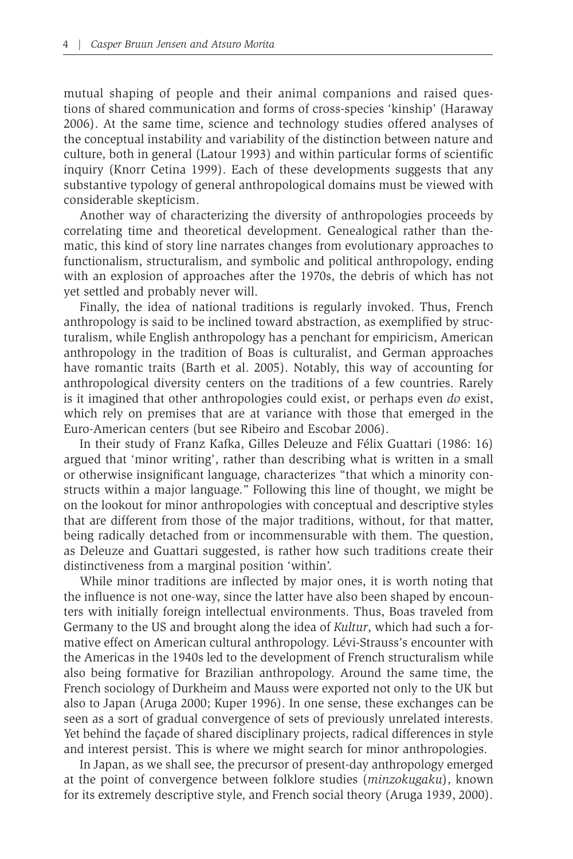mutual shaping of people and their animal companions and raised questions of shared communication and forms of cross-species 'kinship' (Haraway 2006). At the same time, science and technology studies offered analyses of the conceptual instability and variability of the distinction between nature and culture, both in general (Latour 1993) and within particular forms of scientific inquiry (Knorr Cetina 1999). Each of these developments suggests that any substantive typology of general anthropological domains must be viewed with considerable skepticism.

Another way of characterizing the diversity of anthropologies proceeds by correlating time and theoretical development. Genealogical rather than thematic, this kind of story line narrates changes from evolutionary approaches to functionalism, structuralism, and symbolic and political anthropology, ending with an explosion of approaches after the 1970s, the debris of which has not yet settled and probably never will.

Finally, the idea of national traditions is regularly invoked. Thus, French anthropology is said to be inclined toward abstraction, as exemplified by structuralism, while English anthropology has a penchant for empiricism, American anthropology in the tradition of Boas is culturalist, and German approaches have romantic traits (Barth et al. 2005). Notably, this way of accounting for anthropological diversity centers on the traditions of a few countries. Rarely is it imagined that other anthropologies could exist, or perhaps even *do* exist, which rely on premises that are at variance with those that emerged in the Euro-American centers (but see Ribeiro and Escobar 2006).

In their study of Franz Kafka, Gilles Deleuze and Félix Guattari (1986: 16) argued that 'minor writing', rather than describing what is written in a small or otherwise insignificant language, characterizes "that which a minority constructs within a major language." Following this line of thought, we might be on the lookout for minor anthropologies with conceptual and descriptive styles that are different from those of the major traditions, without, for that matter, being radically detached from or incommensurable with them. The question, as Deleuze and Guattari suggested, is rather how such traditions create their distinctiveness from a marginal position 'within'.

While minor traditions are inflected by major ones, it is worth noting that the influence is not one-way, since the latter have also been shaped by encounters with initially foreign intellectual environments. Thus, Boas traveled from Germany to the US and brought along the idea of *Kultur*, which had such a formative effect on American cultural anthropology. Lévi-Strauss's encounter with the Americas in the 1940s led to the development of French structuralism while also being formative for Brazilian anthropology. Around the same time, the French sociology of Durkheim and Mauss were exported not only to the UK but also to Japan (Aruga 2000; Kuper 1996). In one sense, these exchanges can be seen as a sort of gradual convergence of sets of previously unrelated interests. Yet behind the façade of shared disciplinary projects, radical differences in style and interest persist. This is where we might search for minor anthropologies.

In Japan, as we shall see, the precursor of present-day anthropology emerged at the point of convergence between folklore studies (*minzokugaku*), known for its extremely descriptive style, and French social theory (Aruga 1939, 2000).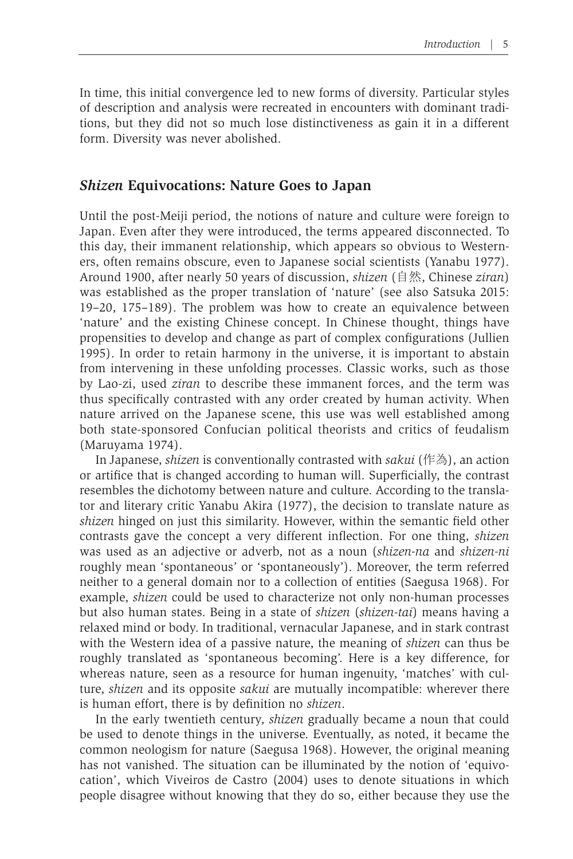In time, this initial convergence led to new forms of diversity. Particular styles of description and analysis were recreated in encounters with dominant traditions, but they did not so much lose distinctiveness as gain it in a different form. Diversity was never abolished.

#### *Shizen* **Equivocations: Nature Goes to Japan**

Until the post-Meiji period, the notions of nature and culture were foreign to Japan. Even after they were introduced, the terms appeared disconnected. To this day, their immanent relationship, which appears so obvious to Westerners, often remains obscure, even to Japanese social scientists (Yanabu 1977). Around 1900, after nearly 50 years of discussion, *shizen* (自然, Chinese *ziran*) was established as the proper translation of 'nature' (see also Satsuka 2015: 19–20, 175–189). The problem was how to create an equivalence between 'nature' and the existing Chinese concept. In Chinese thought, things have propensities to develop and change as part of complex configurations (Jullien 1995). In order to retain harmony in the universe, it is important to abstain from intervening in these unfolding processes. Classic works, such as those by Lao-zi, used *ziran* to describe these immanent forces, and the term was thus specifically contrasted with any order created by human activity. When nature arrived on the Japanese scene, this use was well established among both state-sponsored Confucian political theorists and critics of feudalism (Maruyama 1974).

In Japanese, *shizen* is conventionally contrasted with *sakui* (作為), an action or artifice that is changed according to human will. Superficially, the contrast resembles the dichotomy between nature and culture. According to the translator and literary critic Yanabu Akira (1977), the decision to translate nature as *shizen* hinged on just this similarity. However, within the semantic field other contrasts gave the concept a very different inflection. For one thing, *shizen* was used as an adjective or adverb, not as a noun (*shizen-na* and *shizen-ni* roughly mean 'spontaneous' or 'spontaneously'). Moreover, the term referred neither to a general domain nor to a collection of entities (Saegusa 1968). For example, *shizen* could be used to characterize not only non-human processes but also human states. Being in a state of *shizen* (*shizen*-*tai*) means having a relaxed mind or body. In traditional, vernacular Japanese, and in stark contrast with the Western idea of a passive nature, the meaning of *shizen* can thus be roughly translated as 'spontaneous becoming'. Here is a key difference, for whereas nature, seen as a resource for human ingenuity, 'matches' with culture, *shizen* and its opposite *sakui* are mutually incompatible: wherever there is human effort, there is by definition no *shizen*.

In the early twentieth century, *shizen* gradually became a noun that could be used to denote things in the universe. Eventually, as noted, it became the common neologism for nature (Saegusa 1968). However, the original meaning has not vanished. The situation can be illuminated by the notion of 'equivocation', which Viveiros de Castro (2004) uses to denote situations in which people disagree without knowing that they do so, either because they use the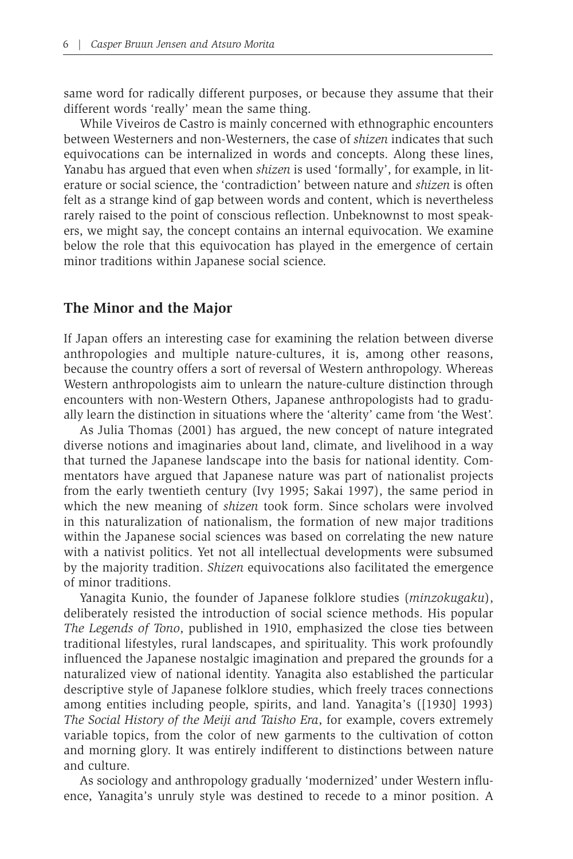same word for radically different purposes, or because they assume that their different words 'really' mean the same thing.

While Viveiros de Castro is mainly concerned with ethnographic encounters between Westerners and non-Westerners, the case of *shizen* indicates that such equivocations can be internalized in words and concepts. Along these lines, Yanabu has argued that even when *shizen* is used 'formally', for example, in literature or social science, the 'contradiction' between nature and *shizen* is often felt as a strange kind of gap between words and content, which is nevertheless rarely raised to the point of conscious reflection. Unbeknownst to most speakers, we might say, the concept contains an internal equivocation. We examine below the role that this equivocation has played in the emergence of certain minor traditions within Japanese social science.

#### **The Minor and the Major**

If Japan offers an interesting case for examining the relation between diverse anthropologies and multiple nature-cultures, it is, among other reasons, because the country offers a sort of reversal of Western anthropology. Whereas Western anthropologists aim to unlearn the nature-culture distinction through encounters with non-Western Others, Japanese anthropologists had to gradually learn the distinction in situations where the 'alterity' came from 'the West'.

As Julia Thomas (2001) has argued, the new concept of nature integrated diverse notions and imaginaries about land, climate, and livelihood in a way that turned the Japanese landscape into the basis for national identity. Commentators have argued that Japanese nature was part of nationalist projects from the early twentieth century (Ivy 1995; Sakai 1997), the same period in which the new meaning of *shizen* took form. Since scholars were involved in this naturalization of nationalism, the formation of new major traditions within the Japanese social sciences was based on correlating the new nature with a nativist politics. Yet not all intellectual developments were subsumed by the majority tradition. *Shizen* equivocations also facilitated the emergence of minor traditions.

Yanagita Kunio, the founder of Japanese folklore studies (*minzokugaku*), deliberately resisted the introduction of social science methods. His popular *The Legends of Tono*, published in 1910, emphasized the close ties between traditional lifestyles, rural landscapes, and spirituality. This work profoundly influenced the Japanese nostalgic imagination and prepared the grounds for a naturalized view of national identity. Yanagita also established the particular descriptive style of Japanese folklore studies, which freely traces connections among entities including people, spirits, and land. Yanagita's ([1930] 1993) *The Social History of the Meiji and Taisho Era*, for example, covers extremely variable topics, from the color of new garments to the cultivation of cotton and morning glory. It was entirely indifferent to distinctions between nature and culture.

As sociology and anthropology gradually 'modernized' under Western influence, Yanagita's unruly style was destined to recede to a minor position. A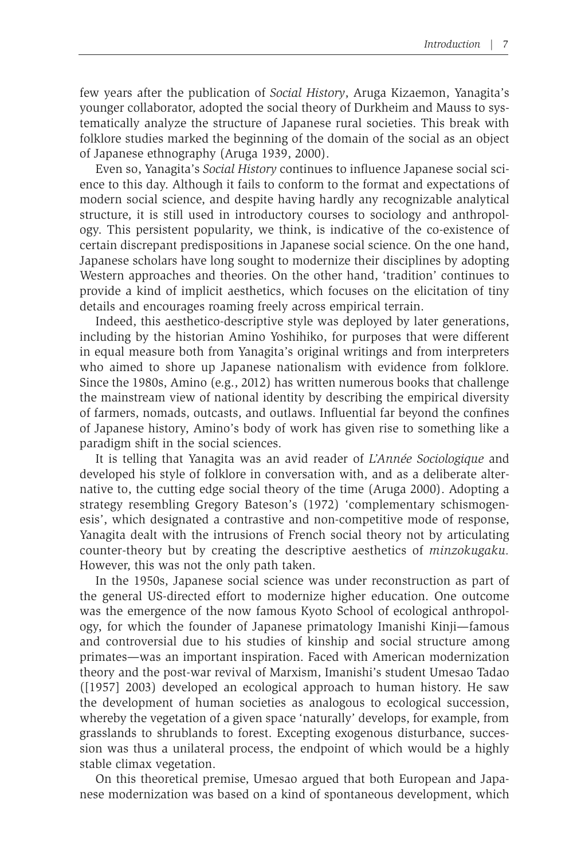few years after the publication of *Social History*, Aruga Kizaemon, Yanagita's younger collaborator, adopted the social theory of Durkheim and Mauss to systematically analyze the structure of Japanese rural societies. This break with folklore studies marked the beginning of the domain of the social as an object of Japanese ethnography (Aruga 1939, 2000).

Even so, Yanagita's *Social History* continues to influence Japanese social science to this day. Although it fails to conform to the format and expectations of modern social science, and despite having hardly any recognizable analytical structure, it is still used in introductory courses to sociology and anthropology. This persistent popularity, we think, is indicative of the co-existence of certain discrepant predispositions in Japanese social science. On the one hand, Japanese scholars have long sought to modernize their disciplines by adopting Western approaches and theories. On the other hand, 'tradition' continues to provide a kind of implicit aesthetics, which focuses on the elicitation of tiny details and encourages roaming freely across empirical terrain.

Indeed, this aesthetico-descriptive style was deployed by later generations, including by the historian Amino Yoshihiko, for purposes that were different in equal measure both from Yanagita's original writings and from interpreters who aimed to shore up Japanese nationalism with evidence from folklore. Since the 1980s, Amino (e.g., 2012) has written numerous books that challenge the mainstream view of national identity by describing the empirical diversity of farmers, nomads, outcasts, and outlaws. Influential far beyond the confines of Japanese history, Amino's body of work has given rise to something like a paradigm shift in the social sciences.

It is telling that Yanagita was an avid reader of *L'Année Sociologique* and developed his style of folklore in conversation with, and as a deliberate alternative to, the cutting edge social theory of the time (Aruga 2000). Adopting a strategy resembling Gregory Bateson's (1972) 'complementary schismogenesis', which designated a contrastive and non-competitive mode of response, Yanagita dealt with the intrusions of French social theory not by articulating counter-theory but by creating the descriptive aesthetics of *minzokugaku.*  However, this was not the only path taken.

In the 1950s, Japanese social science was under reconstruction as part of the general US-directed effort to modernize higher education. One outcome was the emergence of the now famous Kyoto School of ecological anthropology, for which the founder of Japanese primatology Imanishi Kinji—famous and controversial due to his studies of kinship and social structure among primates—was an important inspiration. Faced with American modernization theory and the post-war revival of Marxism, Imanishi's student Umesao Tadao ([1957] 2003) developed an ecological approach to human history. He saw the development of human societies as analogous to ecological succession, whereby the vegetation of a given space 'naturally' develops, for example, from grasslands to shrublands to forest. Excepting exogenous disturbance, succession was thus a unilateral process, the endpoint of which would be a highly stable climax vegetation.

On this theoretical premise, Umesao argued that both European and Japanese modernization was based on a kind of spontaneous development, which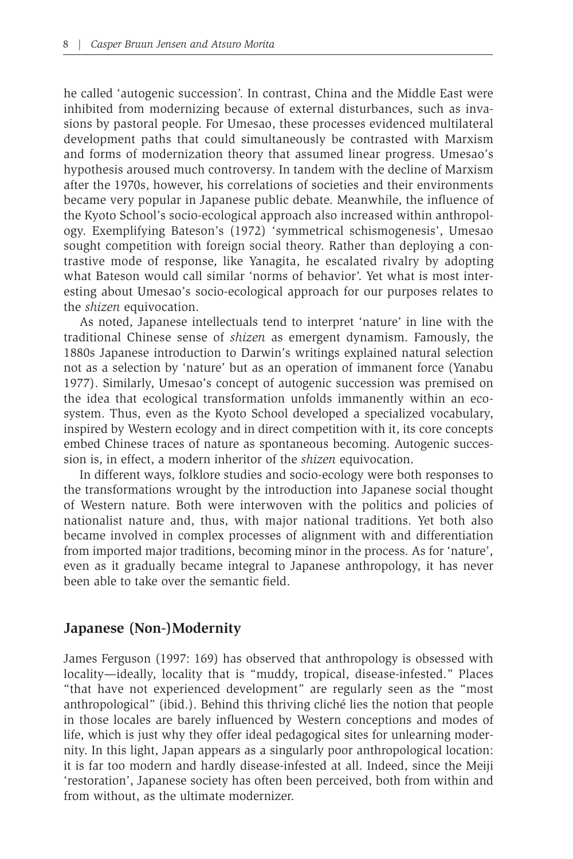he called 'autogenic succession'. In contrast, China and the Middle East were inhibited from modernizing because of external disturbances, such as invasions by pastoral people. For Umesao, these processes evidenced multilateral development paths that could simultaneously be contrasted with Marxism and forms of modernization theory that assumed linear progress. Umesao's hypothesis aroused much controversy. In tandem with the decline of Marxism after the 1970s, however, his correlations of societies and their environments became very popular in Japanese public debate. Meanwhile, the influence of the Kyoto School's socio-ecological approach also increased within anthropology. Exemplifying Bateson's (1972) 'symmetrical schismogenesis', Umesao sought competition with foreign social theory. Rather than deploying a contrastive mode of response, like Yanagita, he escalated rivalry by adopting what Bateson would call similar 'norms of behavior'. Yet what is most interesting about Umesao's socio-ecological approach for our purposes relates to the *shizen* equivocation.

As noted, Japanese intellectuals tend to interpret 'nature' in line with the traditional Chinese sense of *shizen* as emergent dynamism. Famously, the 1880s Japanese introduction to Darwin's writings explained natural selection not as a selection by 'nature' but as an operation of immanent force (Yanabu 1977). Similarly, Umesao's concept of autogenic succession was premised on the idea that ecological transformation unfolds immanently within an ecosystem. Thus, even as the Kyoto School developed a specialized vocabulary, inspired by Western ecology and in direct competition with it, its core concepts embed Chinese traces of nature as spontaneous becoming. Autogenic succession is, in effect, a modern inheritor of the *shizen* equivocation.

In different ways, folklore studies and socio-ecology were both responses to the transformations wrought by the introduction into Japanese social thought of Western nature. Both were interwoven with the politics and policies of nationalist nature and, thus, with major national traditions. Yet both also became involved in complex processes of alignment with and differentiation from imported major traditions, becoming minor in the process. As for 'nature', even as it gradually became integral to Japanese anthropology, it has never been able to take over the semantic field.

## **Japanese (Non-)Modernity**

James Ferguson (1997: 169) has observed that anthropology is obsessed with locality—ideally, locality that is "muddy, tropical, disease-infested." Places "that have not experienced development" are regularly seen as the "most anthropological" (ibid.). Behind this thriving cliché lies the notion that people in those locales are barely influenced by Western conceptions and modes of life, which is just why they offer ideal pedagogical sites for unlearning modernity. In this light, Japan appears as a singularly poor anthropological location: it is far too modern and hardly disease-infested at all. Indeed, since the Meiji 'restoration', Japanese society has often been perceived, both from within and from without, as the ultimate modernizer.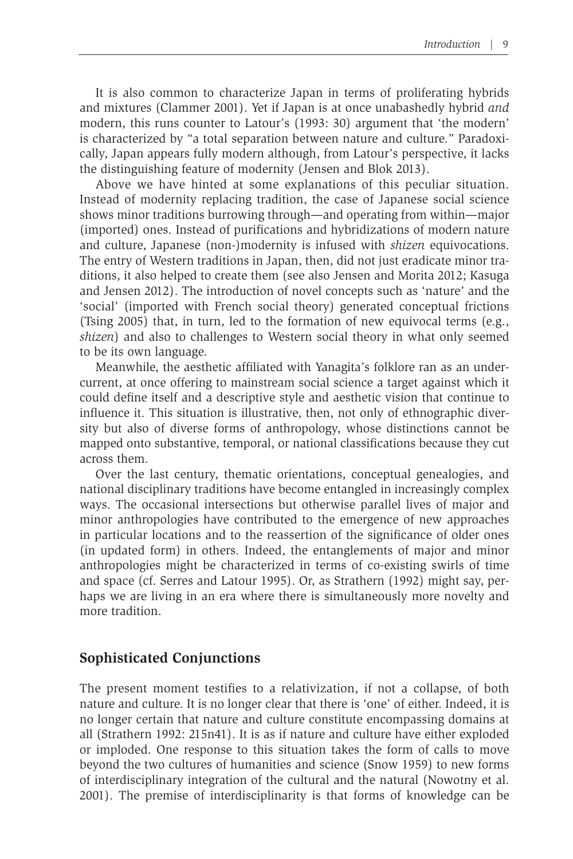It is also common to characterize Japan in terms of proliferating hybrids and mixtures (Clammer 2001). Yet if Japan is at once unabashedly hybrid *and* modern, this runs counter to Latour's (1993: 30) argument that 'the modern' is characterized by "a total separation between nature and culture." Paradoxically, Japan appears fully modern although, from Latour's perspective, it lacks the distinguishing feature of modernity (Jensen and Blok 2013).

Above we have hinted at some explanations of this peculiar situation. Instead of modernity replacing tradition, the case of Japanese social science shows minor traditions burrowing through—and operating from within—major (imported) ones. Instead of purifications and hybridizations of modern nature and culture, Japanese (non-)modernity is infused with *shizen* equivocations. The entry of Western traditions in Japan, then, did not just eradicate minor traditions, it also helped to create them (see also Jensen and Morita 2012; Kasuga and Jensen 2012). The introduction of novel concepts such as 'nature' and the 'social' (imported with French social theory) generated conceptual frictions (Tsing 2005) that, in turn, led to the formation of new equivocal terms (e.g., *shizen*) and also to challenges to Western social theory in what only seemed to be its own language.

Meanwhile, the aesthetic affiliated with Yanagita's folklore ran as an undercurrent, at once offering to mainstream social science a target against which it could define itself and a descriptive style and aesthetic vision that continue to influence it. This situation is illustrative, then, not only of ethnographic diversity but also of diverse forms of anthropology, whose distinctions cannot be mapped onto substantive, temporal, or national classifications because they cut across them.

Over the last century, thematic orientations, conceptual genealogies, and national disciplinary traditions have become entangled in increasingly complex ways. The occasional intersections but otherwise parallel lives of major and minor anthropologies have contributed to the emergence of new approaches in particular locations and to the reassertion of the significance of older ones (in updated form) in others*.* Indeed, the entanglements of major and minor anthropologies might be characterized in terms of co-existing swirls of time and space (cf. Serres and Latour 1995). Or, as Strathern (1992) might say, perhaps we are living in an era where there is simultaneously more novelty and more tradition.

## **Sophisticated Conjunctions**

The present moment testifies to a relativization, if not a collapse, of both nature and culture. It is no longer clear that there is 'one' of either. Indeed, it is no longer certain that nature and culture constitute encompassing domains at all (Strathern 1992: 215n41). It is as if nature and culture have either exploded or imploded. One response to this situation takes the form of calls to move beyond the two cultures of humanities and science (Snow 1959) to new forms of interdisciplinary integration of the cultural and the natural (Nowotny et al. 2001). The premise of interdisciplinarity is that forms of knowledge can be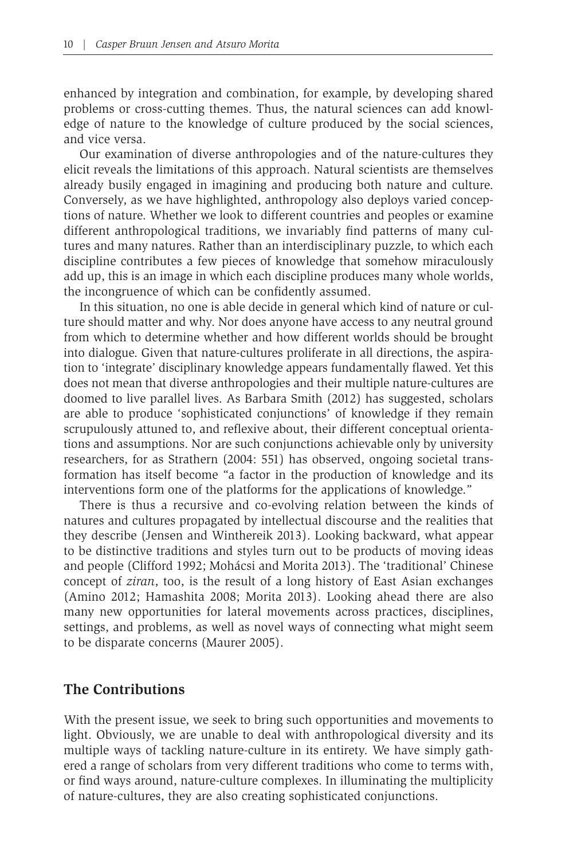enhanced by integration and combination, for example, by developing shared problems or cross-cutting themes. Thus, the natural sciences can add knowledge of nature to the knowledge of culture produced by the social sciences, and vice versa.

Our examination of diverse anthropologies and of the nature-cultures they elicit reveals the limitations of this approach. Natural scientists are themselves already busily engaged in imagining and producing both nature and culture. Conversely, as we have highlighted, anthropology also deploys varied conceptions of nature. Whether we look to different countries and peoples or examine different anthropological traditions, we invariably find patterns of many cultures and many natures. Rather than an interdisciplinary puzzle, to which each discipline contributes a few pieces of knowledge that somehow miraculously add up, this is an image in which each discipline produces many whole worlds, the incongruence of which can be confidently assumed.

In this situation, no one is able decide in general which kind of nature or culture should matter and why. Nor does anyone have access to any neutral ground from which to determine whether and how different worlds should be brought into dialogue. Given that nature-cultures proliferate in all directions, the aspiration to 'integrate' disciplinary knowledge appears fundamentally flawed. Yet this does not mean that diverse anthropologies and their multiple nature-cultures are doomed to live parallel lives. As Barbara Smith (2012) has suggested, scholars are able to produce 'sophisticated conjunctions' of knowledge if they remain scrupulously attuned to, and reflexive about, their different conceptual orientations and assumptions. Nor are such conjunctions achievable only by university researchers, for as Strathern (2004: 551) has observed, ongoing societal transformation has itself become "a factor in the production of knowledge and its interventions form one of the platforms for the applications of knowledge."

There is thus a recursive and co-evolving relation between the kinds of natures and cultures propagated by intellectual discourse and the realities that they describe (Jensen and Winthereik 2013). Looking backward, what appear to be distinctive traditions and styles turn out to be products of moving ideas and people (Clifford 1992; Mohácsi and Morita 2013). The 'traditional' Chinese concept of *ziran*, too, is the result of a long history of East Asian exchanges (Amino 2012; Hamashita 2008; Morita 2013). Looking ahead there are also many new opportunities for lateral movements across practices, disciplines, settings, and problems, as well as novel ways of connecting what might seem to be disparate concerns (Maurer 2005).

## **The Contributions**

With the present issue, we seek to bring such opportunities and movements to light. Obviously, we are unable to deal with anthropological diversity and its multiple ways of tackling nature-culture in its entirety. We have simply gathered a range of scholars from very different traditions who come to terms with, or find ways around, nature-culture complexes. In illuminating the multiplicity of nature-cultures, they are also creating sophisticated conjunctions.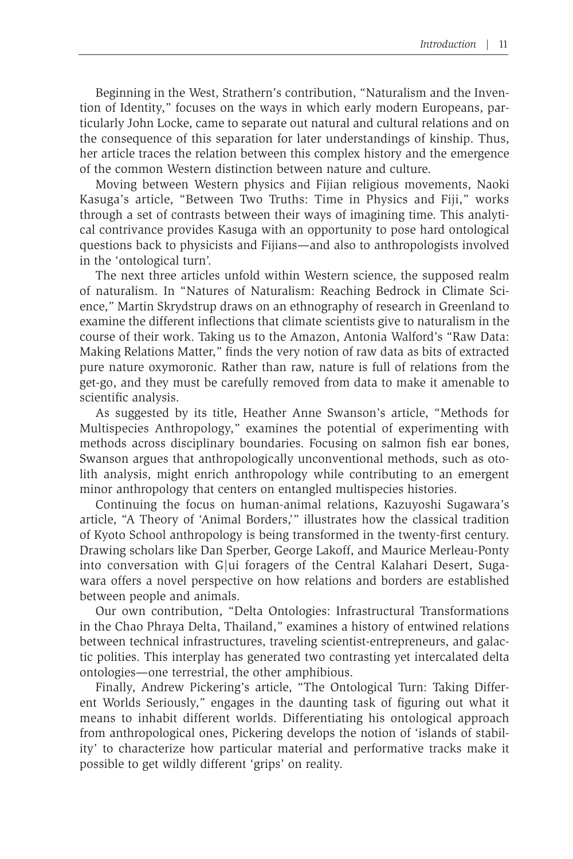Beginning in the West, Strathern's contribution, "Naturalism and the Invention of Identity," focuses on the ways in which early modern Europeans, particularly John Locke, came to separate out natural and cultural relations and on the consequence of this separation for later understandings of kinship. Thus, her article traces the relation between this complex history and the emergence of the common Western distinction between nature and culture.

Moving between Western physics and Fijian religious movements, Naoki Kasuga's article, "Between Two Truths: Time in Physics and Fiji," works through a set of contrasts between their ways of imagining time. This analytical contrivance provides Kasuga with an opportunity to pose hard ontological questions back to physicists and Fijians—and also to anthropologists involved in the 'ontological turn'.

The next three articles unfold within Western science, the supposed realm of naturalism. In "Natures of Naturalism: Reaching Bedrock in Climate Science," Martin Skrydstrup draws on an ethnography of research in Greenland to examine the different inflections that climate scientists give to naturalism in the course of their work. Taking us to the Amazon, Antonia Walford's "Raw Data: Making Relations Matter," finds the very notion of raw data as bits of extracted pure nature oxymoronic. Rather than raw, nature is full of relations from the get-go, and they must be carefully removed from data to make it amenable to scientific analysis.

As suggested by its title, Heather Anne Swanson's article, "Methods for Multispecies Anthropology," examines the potential of experimenting with methods across disciplinary boundaries. Focusing on salmon fish ear bones, Swanson argues that anthropologically unconventional methods, such as otolith analysis, might enrich anthropology while contributing to an emergent minor anthropology that centers on entangled multispecies histories.

Continuing the focus on human-animal relations, Kazuyoshi Sugawara's article, "A Theory of 'Animal Borders,'" illustrates how the classical tradition of Kyoto School anthropology is being transformed in the twenty-first century. Drawing scholars like Dan Sperber, George Lakoff, and Maurice Merleau-Ponty into conversation with G|ui foragers of the Central Kalahari Desert, Sugawara offers a novel perspective on how relations and borders are established between people and animals.

Our own contribution, "Delta Ontologies: Infrastructural Transformations in the Chao Phraya Delta, Thailand," examines a history of entwined relations between technical infrastructures, traveling scientist-entrepreneurs, and galactic polities. This interplay has generated two contrasting yet intercalated delta ontologies—one terrestrial, the other amphibious.

Finally, Andrew Pickering's article, "The Ontological Turn: Taking Different Worlds Seriously," engages in the daunting task of figuring out what it means to inhabit different worlds. Differentiating his ontological approach from anthropological ones, Pickering develops the notion of 'islands of stability' to characterize how particular material and performative tracks make it possible to get wildly different 'grips' on reality.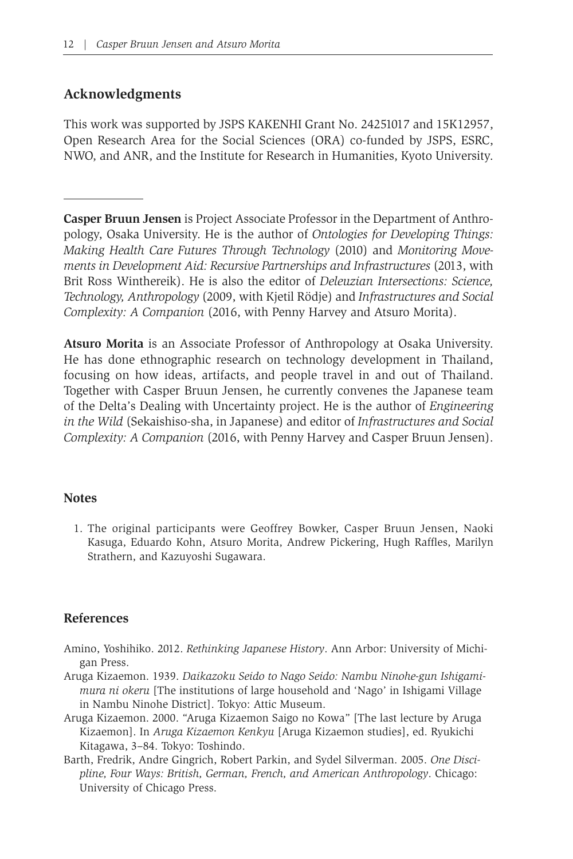## **Acknowledgments**

This work was supported by JSPS KAKENHI Grant No. 24251017 and 15K12957, Open Research Area for the Social Sciences (ORA) co-funded by JSPS, ESRC, NWO, and ANR, and the Institute for Research in Humanities, Kyoto University.

**Casper Bruun Jensen** is Project Associate Professor in the Department of Anthropology, Osaka University. He is the author of *Ontologies for Developing Things: Making Health Care Futures Through Technology* (2010) and *Monitoring Movements in Development Aid: Recursive Partnerships and Infrastructures* (2013, with Brit Ross Winthereik). He is also the editor of *Deleuzian Intersections: Science, Technology, Anthropology* (2009, with Kjetil Rödje) and *Infrastructures and Social Complexity: A Companion* (2016, with Penny Harvey and Atsuro Morita).

**Atsuro Morita** is an Associate Professor of Anthropology at Osaka University. He has done ethnographic research on technology development in Thailand, focusing on how ideas, artifacts, and people travel in and out of Thailand. Together with Casper Bruun Jensen, he currently convenes the Japanese team of the Delta's Dealing with Uncertainty project. He is the author of *Engineering in the Wild* (Sekaishiso-sha, in Japanese) and editor of *Infrastructures and Social Complexity: A Companion* (2016, with Penny Harvey and Casper Bruun Jensen).

#### **Notes**

1. The original participants were Geoffrey Bowker, Casper Bruun Jensen, Naoki Kasuga, Eduardo Kohn, Atsuro Morita, Andrew Pickering, Hugh Raffles, Marilyn Strathern, and Kazuyoshi Sugawara.

#### **References**

- Amino, Yoshihiko. 2012. *Rethinking Japanese History*. Ann Arbor: University of Michigan Press.
- Aruga Kizaemon. 1939. *Daikazoku Seido to Nago Seido: Nambu Ninohe-gun Ishigamimura ni okeru* [The institutions of large household and 'Nago' in Ishigami Village in Nambu Ninohe District]. Tokyo: Attic Museum.
- Aruga Kizaemon. 2000. "Aruga Kizaemon Saigo no Kowa" [The last lecture by Aruga Kizaemon]. In *Aruga Kizaemon Kenkyu* [Aruga Kizaemon studies], ed. Ryukichi Kitagawa, 3–84. Tokyo: Toshindo.
- Barth, Fredrik, Andre Gingrich, Robert Parkin, and Sydel Silverman. 2005. *One Discipline, Four Ways: British, German, French, and American Anthropology*. Chicago: University of Chicago Press.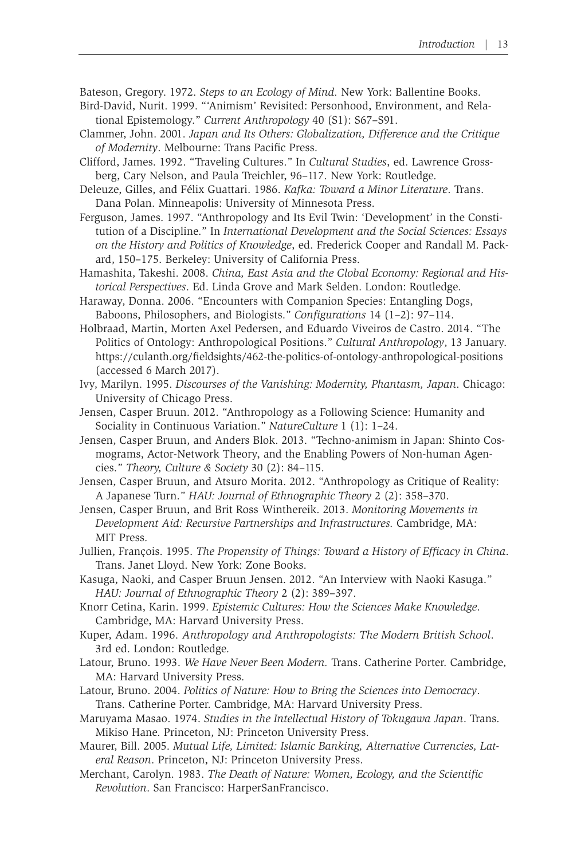Bateson, Gregory. 1972. *Steps to an Ecology of Mind.* New York: Ballentine Books.

- Bird-David, Nurit. 1999. "'Animism' Revisited: Personhood, Environment, and Relational Epistemology." *Current Anthropology* 40 (S1): S67–S91.
- Clammer, John. 2001. *Japan and Its Others: Globalization, Difference and the Critique of Modernity*. Melbourne: Trans Pacific Press.
- Clifford, James. 1992. "Traveling Cultures." In *Cultural Studies*, ed. Lawrence Grossberg, Cary Nelson, and Paula Treichler, 96–117. New York: Routledge.
- Deleuze, Gilles, and Félix Guattari. 1986. *Kafka: Toward a Minor Literature*. Trans. Dana Polan. Minneapolis: University of Minnesota Press.
- Ferguson, James. 1997. "Anthropology and Its Evil Twin: 'Development' in the Constitution of a Discipline." In *International Development and the Social Sciences: Essays on the History and Politics of Knowledge*, ed. Frederick Cooper and Randall M. Packard, 150–175. Berkeley: University of California Press.
- Hamashita, Takeshi. 2008. *China, East Asia and the Global Economy: Regional and Historical Perspectives*. Ed. Linda Grove and Mark Selden. London: Routledge.
- Haraway, Donna. 2006. "Encounters with Companion Species: Entangling Dogs, Baboons, Philosophers, and Biologists." *Configurations* 14 (1–2): 97–114.
- Holbraad, Martin, Morten Axel Pedersen, and Eduardo Viveiros de Castro. 2014. "The Politics of Ontology: Anthropological Positions." *Cultural Anthropology*, 13 January. https://culanth.org/fieldsights/462-the-politics-of-ontology-anthropological-positions (accessed 6 March 2017).
- Ivy, Marilyn. 1995. *Discourses of the Vanishing: Modernity, Phantasm, Japan*. Chicago: University of Chicago Press.
- Jensen, Casper Bruun. 2012. "Anthropology as a Following Science: Humanity and Sociality in Continuous Variation." *NatureCulture* 1 (1): 1–24.
- Jensen, Casper Bruun, and Anders Blok. 2013. "Techno-animism in Japan: Shinto Cosmograms, Actor-Network Theory, and the Enabling Powers of Non-human Agencies." *Theory, Culture & Society* 30 (2): 84–115.
- Jensen, Casper Bruun, and Atsuro Morita. 2012. "Anthropology as Critique of Reality: A Japanese Turn." *HAU: Journal of Ethnographic Theory* 2 (2): 358–370.
- Jensen, Casper Bruun, and Brit Ross Winthereik. 2013. *Monitoring Movements in Development Aid: Recursive Partnerships and Infrastructures.* Cambridge, MA: MIT Press.
- Jullien, François. 1995. *The Propensity of Things: Toward a History of Efficacy in China*. Trans. Janet Lloyd. New York: Zone Books.
- Kasuga, Naoki, and Casper Bruun Jensen. 2012. "An Interview with Naoki Kasuga." *HAU: Journal of Ethnographic Theory* 2 (2): 389–397.
- Knorr Cetina, Karin. 1999. *Epistemic Cultures: How the Sciences Make Knowledge*. Cambridge, MA: Harvard University Press.
- Kuper, Adam. 1996. *Anthropology and Anthropologists: The Modern British School*. 3rd ed. London: Routledge.
- Latour, Bruno. 1993. *We Have Never Been Modern.* Trans. Catherine Porter. Cambridge, MA: Harvard University Press.
- Latour, Bruno. 2004. *Politics of Nature: How to Bring the Sciences into Democracy*. Trans. Catherine Porter. Cambridge, MA: Harvard University Press.
- Maruyama Masao. 1974. *Studies in the Intellectual History of Tokugawa Japan*. Trans. Mikiso Hane. Princeton, NJ: Princeton University Press.
- Maurer, Bill. 2005. *Mutual Life, Limited: Islamic Banking, Alternative Currencies, Lateral Reason*. Princeton, NJ: Princeton University Press.
- Merchant, Carolyn. 1983. *The Death of Nature: Women, Ecology, and the Scientific Revolution*. San Francisco: HarperSanFrancisco.